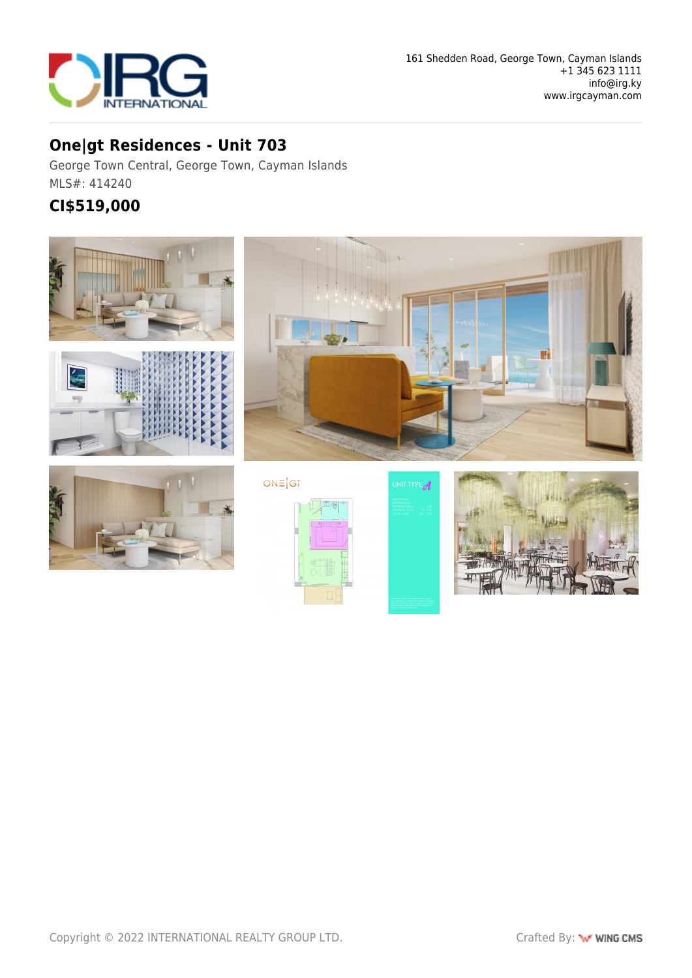

## **One|gt Residences - Unit 703**

George Town Central, George Town, Cayman Islands MLS#: 414240

## **CI\$519,000**

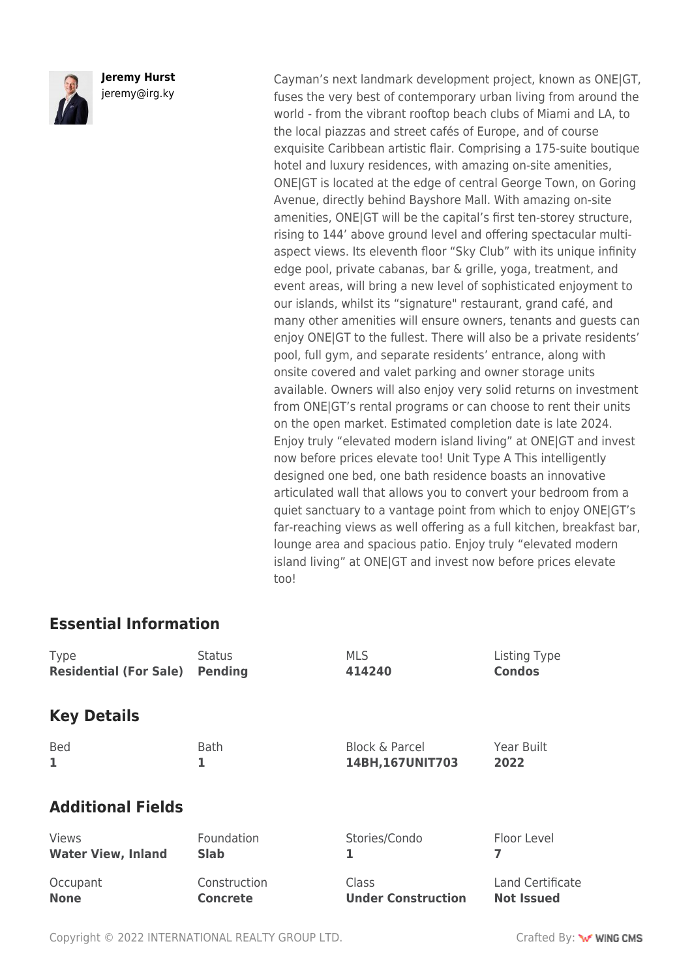

**Jeremy Hurst** jeremy@irg.ky

Cayman's next landmark development project, known as ONE|GT, fuses the very best of contemporary urban living from around the world - from the vibrant rooftop beach clubs of Miami and LA, to the local piazzas and street cafés of Europe, and of course exquisite Caribbean artistic flair. Comprising a 175-suite boutique hotel and luxury residences, with amazing on-site amenities, ONE|GT is located at the edge of central George Town, on Goring Avenue, directly behind Bayshore Mall. With amazing on-site amenities, ONE|GT will be the capital's first ten-storey structure, rising to 144' above ground level and offering spectacular multiaspect views. Its eleventh floor "Sky Club" with its unique infinity edge pool, private cabanas, bar & grille, yoga, treatment, and event areas, will bring a new level of sophisticated enjoyment to our islands, whilst its "signature" restaurant, grand café, and many other amenities will ensure owners, tenants and guests can enjoy ONE|GT to the fullest. There will also be a private residents' pool, full gym, and separate residents' entrance, along with onsite covered and valet parking and owner storage units available. Owners will also enjoy very solid returns on investment from ONE|GT's rental programs or can choose to rent their units on the open market. Estimated completion date is late 2024. Enjoy truly "elevated modern island living" at ONE|GT and invest now before prices elevate too! Unit Type A This intelligently designed one bed, one bath residence boasts an innovative articulated wall that allows you to convert your bedroom from a quiet sanctuary to a vantage point from which to enjoy ONE|GT's far-reaching views as well offering as a full kitchen, breakfast bar, lounge area and spacious patio. Enjoy truly "elevated modern island living" at ONE|GT and invest now before prices elevate too!

## **Essential Information**

| <b>Type</b>                   | <b>Status</b>   | <b>MLS</b>                | Listing Type      |
|-------------------------------|-----------------|---------------------------|-------------------|
| <b>Residential (For Sale)</b> | <b>Pending</b>  | 414240                    | <b>Condos</b>     |
| <b>Key Details</b>            |                 |                           |                   |
| <b>Bed</b>                    | <b>Bath</b>     | <b>Block &amp; Parcel</b> | Year Built        |
| 1                             | 1               | 14BH, 167UNIT703          | 2022              |
| <b>Additional Fields</b>      |                 |                           |                   |
| <b>Views</b>                  | Foundation      | Stories/Condo             | Floor Level       |
| <b>Water View, Inland</b>     | <b>Slab</b>     | 1                         | 7                 |
| Occupant                      | Construction    | Class                     | Land Certificate  |
| <b>None</b>                   | <b>Concrete</b> | <b>Under Construction</b> | <b>Not Issued</b> |

Copyright © 2022 INTERNATIONAL REALTY GROUP LTD. Crafted By: **WWW.COMS**